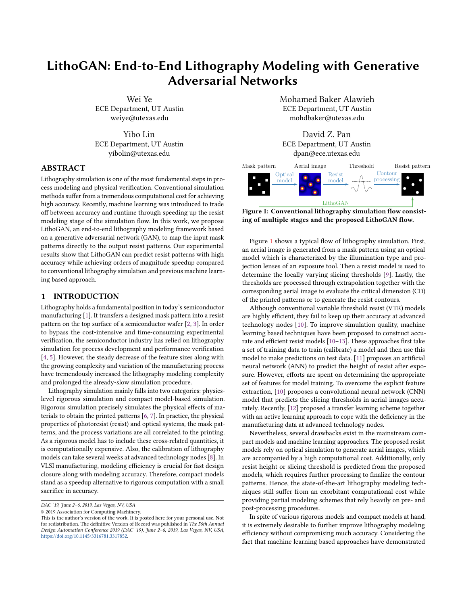# LithoGAN: End-to-End Lithography Modeling with Generative Adversarial Networks

Wei Ye ECE Department, UT Austin weiye@utexas.edu

Yibo Lin ECE Department, UT Austin yibolin@utexas.edu

## ABSTRACT

Lithography simulation is one of the most fundamental steps in process modeling and physical verification. Conventional simulation methods suffer from a tremendous computational cost for achieving high accuracy. Recently, machine learning was introduced to trade off between accuracy and runtime through speeding up the resist modeling stage of the simulation flow. In this work, we propose LithoGAN, an end-to-end lithography modeling framework based on a generative adversarial network (GAN), to map the input mask patterns directly to the output resist patterns. Our experimental results show that LithoGAN can predict resist patterns with high accuracy while achieving orders of magnitude speedup compared to conventional lithography simulation and previous machine learning based approach.

## 1 INTRODUCTION

Lithography holds a fundamental position in today's semiconductor manufacturing [1]. It transfers a designed mask pattern into a resist pattern on the top surface of a semiconductor wafer [2, 3]. In order to bypass the cost-intensive and time-consuming experimental verification, the semiconductor industry has relied on lithography simulation for process development and performance verification [4, 5]. However, the steady decrease of the feature sizes along with the growing complexity and variation of the manufacturing process have tremendously increased the lithography modeling complexity and prolonged the already-slow simulation procedure.

Lithography simulation mainly falls into two categories: physicslevel rigorous simulation and compact model-based simulation. Rigorous simulation precisely simulates the physical effects of materials to obtain the printed patterns [6, 7]. In practice, the physical properties of photoresist (resist) and optical systems, the mask patterns, and the process variations are all correlated to the printing. As a rigorous model has to include these cross-related quantities, it is computationally expensive. Also, the calibration of lithography models can take several weeks at advanced technology nodes [8]. In VLSI manufacturing, modeling efficiency is crucial for fast design closure along with modeling accuracy. Therefore, compact models stand as a speedup alternative to rigorous computation with a small sacrifice in accuracy.

Mohamed Baker Alawieh ECE Department, UT Austin mohdbaker@utexas.edu





Figure 1: Conventional lithography simulation flow consisting of multiple stages and the proposed LithoGAN flow.

Figure 1 shows a typical flow of lithography simulation. First, an aerial image is generated from a mask pattern using an optical model which is characterized by the illumination type and projection lenses of an exposure tool. Then a resist model is used to determine the locally varying slicing thresholds [9]. Lastly, the thresholds are processed through extrapolation together with the corresponding aerial image to evaluate the critical dimension (CD) of the printed patterns or to generate the resist contours.

Although conventional variable threshold resist (VTR) models are highly efficient, they fail to keep up their accuracy at advanced technology nodes [10]. To improve simulation quality, machine learning based techniques have been proposed to construct accurate and efficient resist models [10–13]. These approaches first take a set of training data to train (calibrate) a model and then use this model to make predictions on test data. [11] proposes an artificial neural network (ANN) to predict the height of resist after exposure. However, efforts are spent on determining the appropriate set of features for model training. To overcome the explicit feature extraction, [10] proposes a convolutional neural network (CNN) model that predicts the slicing thresholds in aerial images accurately. Recently, [12] proposed a transfer learning scheme together with an active learning approach to cope with the deficiency in the manufacturing data at advanced technology nodes.

Nevertheless, several drawbacks exist in the mainstream compact models and machine learning approaches. The proposed resist models rely on optical simulation to generate aerial images, which are accompanied by a high computational cost. Additionally, only resist height or slicing threshold is predicted from the proposed models, which requires further processing to finalize the contour patterns. Hence, the state-of-the-art lithography modeling techniques still suffer from an exorbitant computational cost while providing partial modeling schemes that rely heavily on pre- and post-processing procedures.

In spite of various rigorous models and compact models at hand, it is extremely desirable to further improve lithography modeling efficiency without compromising much accuracy. Considering the fact that machine learning based approaches have demonstrated

DAC '19, June 2–6, 2019, Las Vegas, NV, USA

<sup>©</sup> 2019 Association for Computing Machinery.

This is the author's version of the work. It is posted here for your personal use. Not for redistribution. The definitive Version of Record was published in The 56th Annual Design Automation Conference 2019 (DAC '19), June 2–6, 2019, Las Vegas, NV, USA, [https://doi.org/10.1145/3316781.3317852.](https://doi.org/10.1145/3316781.3317852)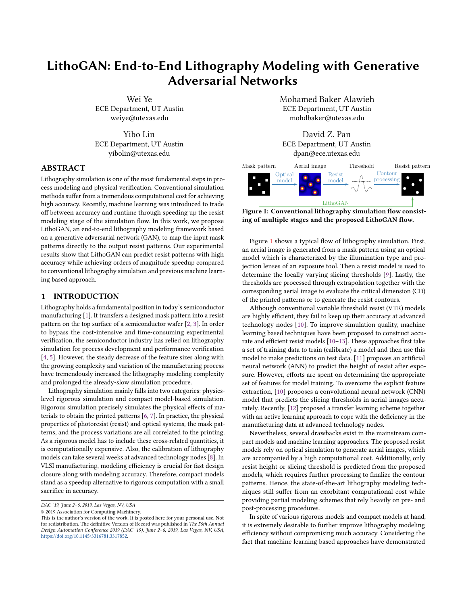superior efficacy in a particular stage during lithography modeling, a natural question then arises: is it possible to build an end-to-end lithography model with machine learning techniques? Toward this goal, we propose LithoGAN, a novel lithography modeling framework based on conditional generative adversarial network (CGAN) that has demonstrated tremendous success in computer vision over the past few years [14–18]. CGAN manifests itself among numerous generative models with an inherent capability to perform image translation tasks such as image colorization and background masking, where an image in one domain is mapped to a corresponding image in another domain. In addition, CGAN has been adopted for optical proximity correction (OPC) enhancement in IC manufacturing [19].

Our proposed LithoGAN framework is the first complete endto-end lithography modeling approach mapping the mask pattern at one end to the resist pattern at the other. This approach builds on a CGAN to translate an image from the layout to the resist shape. It turns out that this translation can achieve high accuracy in predicting the shape and size of the resist pattern. Moreover, to further boost the performance of the CGAN, LithoGAN integrates a CNN that can predict the pattern center to help with localization. The major contributions of this paper are highlighted as follows.

- The end-to-end lithography modeling problem is formulated as an image translation task, which maps mask patterns to resist patterns directly without running optical or resist simulation.
- The proposed framework is based on a conditional generative adversarial network, paired with a convolutional neural network to achieve both high accuracy and efficiency.
- Our framework can achieve ∼1800× runtime reduction compared to rigorous simulation and ∼190× compared to previous approaches with machine learning based threshold prediction [10, 12].
- Experimental results demonstrate our framework achieves comparable accuracy to the state-of-the-art work [12] which requires optical simulation and contour processing.

The rest of this paper is organized as follows. Section 2 reviews the basic concepts and gives the problem formulation. Section 3 provides a detailed explanation of the proposed LithoGAN framework. Section 4 demonstrates the effectiveness of our approaches with comprehensive results, followed by the conclusion in Section 5.

## 2 PRELIMINARIES

An accurate end-to-end lithography model should produce patterns consistent with the manufactured (golden) ones. In order to evaluate the accuracy of a model, evaluation metrics are required to quantify the critical mismatches. Edge placement error (EPE) is a commonly used metric in lithography to characterize pattern fidelity [2, 20]. Technically, EPE measures the Manhattan distances between the printed resist contours and the intended mask patterns at given measurement points. However, our focus is to measure the performance of the proposed LithoGAN framework where we expect a well-trained model to produce contours similar to the golden contours. In other words, the objective is not to optimize EPE, but rather to mimic the golden contours obtained from rigorous simulation. Hence, we propose a new measure, denoted as edge displacement error, which is tailored to our problem.

Definition 1 (Edge Displacement Error, EDE). Given the bounding boxes of the golden and predicted contours respectively, the edge displacement error for a given edge in the bounding box is defined as the distance between the golden edge and the predicted one.



Figure 2: An illustration of the EDE evaluation metric.

The definition of EDE is very similar to EPE, except that EDE is defined between two contours, while EPE is defined between a contour and a design target. Figure 2 illustrates how EDE measures the edge distance between the model predicted contour and the golden lithography contour. However, this measure is not effective in capturing the details of the mismatch between the two contours. While evaluating the quality of the contours is still an open problem, we introduce additional metrics to provide a comprehensive evaluation. Considering that the essence of the LithoGAN task is to predict the color of each pixel in a monochrome image, we adopt the metrics commonly used in computer vision tasks such as semantic segmentation [21].

In this work, three metrics are used to evaluate the quality of the synthesized image besides the EDE metric. For the generality of the terminology, we use class  $i$  to represent color  $i$  of a pixel in the following discussions. Let  $p_{i,j}$  be the number of pixels of class *i* predicted to belong to class *j*, where *i*, *j* ∈ {0, 1}. Let  $t_i = \sum_j p_{i,j}$  be the total number of pixels of class *i* be the total number of pixels of class i.

Definition 2 (Pixel Accuracy). Pixel accuracy is defined as the percentage of pixels in the image which are correctly classified,  $(\sum_i p_{i,i})/(\sum_i t_i).$ 

Definition 3 (Class Accuracy). Class accuracy is defined as the average percentage of pixels in the image which are correctly classified for each class,  $\frac{1}{2} \sum_i (p_{i,i}/t_i)$ .

Definition 4 (Mean IoU). Intersection over union (IoU) measures the number of pixels present in both the golden and predicted patterns (intersection) divided by the number of all pixels present in either of them (union). Mean IoU is an average of the IoU scores for all classes,  $\frac{1}{2} \sum_i (\rho_{i,i}/(t_i - \rho_{i,i} + \sum_j \rho_{j,i})).$ 

The proposed lithography modeling framework first builds a CGAN model using a set of layout clip pairs, where each pair includes a mask pattern and a resist pattern of the center contact as shown in Figure  $3(a)$  and Figure  $3(b)$  respectively. We define the CGAN-based end-to-end lithography modeling problem as follows.

Problem 1 (End-to-End Lithography Modeling). Given a dataset containing the pairs of mask patterns and corresponding resist patterns of center contacts, the objective of end-to-end lithography modeling is to train a model that can accurately predict the resist pattern of the center contact based on a given mask pattern.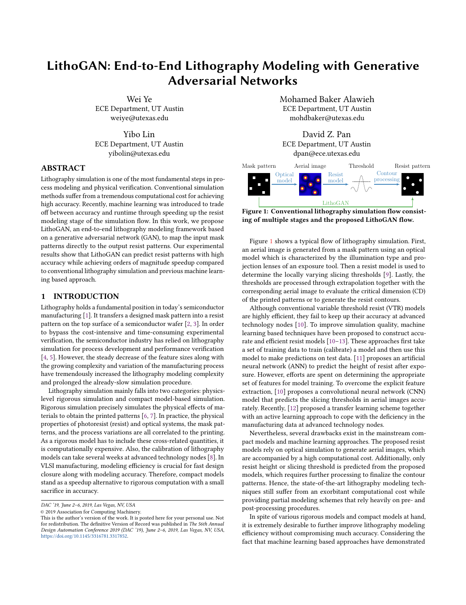

Figure 3: (a) Mask pattern and (b) resist pattern of target contact. Green rectangle denotes the center contact after OPC; red rectangles represent other contacts after OPC; blue rectangles denote the SRAFs.

## 3 LITHOGAN FRAMEWORK

## 3.1 Data Preparation

For training the proposed framework, a dataset consisting of paired images corresponding to mask patterns and resist patterns is needed. Proper resolution enhancement techniques (RETs) such as subresolution assist feature (SRAF) generation and OPC have been applied to the original input mask clips of size  $2 \times 2 \mu$ m. Towards a better localization around the target contact, these clips are then cropped to  $1 \times 1$  µm such that, in each clip, the target contact is located exactly at the center of the clip.

The obtained clips are converted to RGB images of size  $256 \times 256$ pixels where the target contact of interest is encoded into the green channel, neighboring contacts are encoded into the red channel, and SRAFs are encoded into the blue channel. This coloring scheme, demonstrated by the example in Figure  $3(a)$ , maps the different types of objects to different colors to help the model discriminate these objects during the learning and inference processes. On the other hand, the target contact is designed to be  $60 \times 60$  nm; hence, we use the window size  $128 \times 128$  nm to crop the golden resist pattern of the target contact. Although synthesizing a  $128 \times 128$  image might be enough for generating the pattern, the cost of misprediction could be high. For example, mispredicting 1 pixel may result in 1 nm error to the contour, hence, imposing an extremely high requirement to the model. Therefore, we scale the  $128 \times 128$  nm clip to a monochrome image of size  $256 \times 256$  pixels as in Figure  $3(b)$ such that error from mispredicting 1 pixel is around <sup>0</sup>.5 nm. Further improvement to the accuracy is possible by scaling the clip to larger images, but it may cause additional overhead in the modeling effort.

#### 3.2 CGAN Architecture Design

GANs are deep neural networks that use a training dataset to learn the distribution of the input, typically images, and generate new images from the learned distribution. At the highest level, GANs consist of two networks that compete with each other: a generator and a discriminator  $[14]$ . The generator G generates fake samples to fool the discriminator, while the adversarially trained discriminator D distinguishes between real images and fake images generated by the generator. The competition throughout the training process drives both to improve: the discriminator guides the generator on what images to create, while also improving itself by learning what distinguishes real images from the fake ones from the generator.

At the end of the training process, the generator learns the distribution of the training data and is eventually able to generate

real-looking images. On the other hand, it is hard for the discriminator to distinguish between training set images and generated images. After the GAN model converges, the role of the discriminator is over, and the main interest is in the generator who is now able to generate high-quality images. In this way, a GAN learns a generative model that maps a random noise vector z to output image  $\widehat{\mathbf{y}}$ :  $\widehat{\mathbf{y}} = G(\mathbf{z})$ .

Unlike the aforementioned unconditional GAN, the goal of a CGAN is to learn how to generate fake samples with a specific condition or characteristics rather than a generic sample purely based on random noise [15]. Specifically, for image translation tasks, both the generator and discriminator observe another input image y. CGAN requires the generated image  $G(x, z)$  to not only fool the discriminator but also to be close to the ground truth output corresponding to the particular input image. Hence, in this work, we adopt this image translation idea proposed in [16].



Figure 4: CGAN for lithography modeling.

Figure 4 shows the training process of our proposed lithography modeling CGAN. x represents the mask pattern image after SRAF insertion and OPC, and y represents the golden resist pattern of the target contact given by lithography simulation. The generator generates a fake resist pattern  $G(x, z)$  when fed with the input mask pattern x. The discriminator is responsible for classifying this image pair  $(x, G(x, z))$  as fake, and meanwhile, it needs to predict the image pair  $(x, y)$  as real. Here "real" means that y is the output image corresponding to input x. In other words, the target contact in x after resist development will become y.

The discriminator outputs a value  $D(x, y)$  indicating the chance that  $(x, y)$  is a real pair. As demonstrated in Figure 4, the objective of the discriminator is to maximize the chance of recognizing the image pair  $(x, y)$  as real and the image pair  $(x, G(x, z))$  as fake. Mathematically, the objective function of  $D$  is given by  $[14]$ 

$$
\max_{D} \mathbb{E}_{\mathbf{x},\mathbf{y}}[\log D(\mathbf{x}, \mathbf{y})] + \mathbb{E}_{\mathbf{x},\mathbf{z}}[\log(1 - D(\mathbf{x}, G(\mathbf{x}, \mathbf{z})))]. \tag{1}
$$

On the generator side, the objective is to generate images with the highest possible value of  $D(x, G(x, z))$  to fool the discriminator. Besides, the generator wishes that the generated image  $G(x, z)$  is close to the ground truth y. The objective of  $G$  is defined as [15, 16]

$$
\min_{G} \ \mathbb{E}_{\mathbf{x},\mathbf{z}}[\log(1-D(\mathbf{x},G(\mathbf{x},\mathbf{z})))] + \quad \mathbb{E}_{\mathbf{x},\mathbf{y},\mathbf{z}}[\|\mathbf{y}-G(\mathbf{x},\mathbf{z})\|_1], \tag{2}
$$

where  $\ell_1$  norm is used to quantify the pixel-wise difference between the generated image and the ground truth. In practice, it has been shown that  $\ell_1$  norm encourages less blurring when compared to  $\ell_2$ norm [16]. Combining Equation (1) and Equation (2), we have the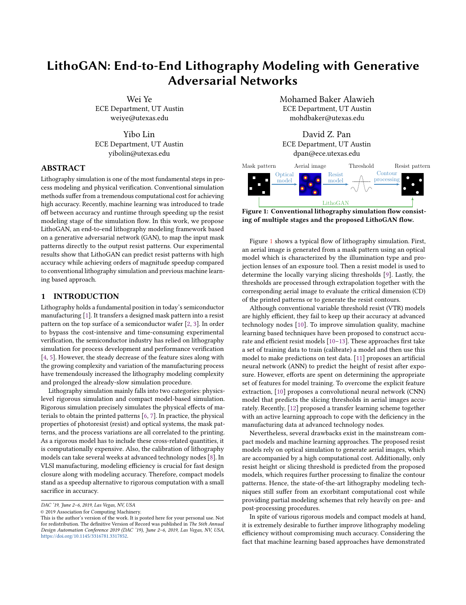following objective function for CGAN,

$$
\min_{G} \max_{D} \mathbb{E}_{\mathbf{x},\mathbf{y}}[\log D(\mathbf{x}, \mathbf{y})] + \mathbb{E}_{\mathbf{x},\mathbf{z}}[\log(1 - D(\mathbf{x}, G(\mathbf{x}, \mathbf{z})))]
$$
\n
$$
+ \cdot \mathbb{E}_{\mathbf{x},\mathbf{y},\mathbf{z}}[\|\mathbf{y} - G(\mathbf{x}, \mathbf{z})\|_{1}].
$$
\n(3)

The details of the CGAN architecture are summarized in Table 1. The problem that we consider maps a high-resolution input (256  $\times$  256) to a high-resolution output (256  $\times$  256), and a common approach to design such a generator is the use of an encoderdecoder network [14–16, 22]. The encoder passes the input through a series of layers that progressively downsample the input until a bottleneck layer; then the decoder reverses the process by progressively upsampling. In Table 1, column "Filter" gives the size and stride of the filter. All convolutional (Conv) and deconvolutional (Deconv) layers have  $5 \times 5$  filters with a stride of 2. Batch normalization (BN) [23] is selectively applied on certain convolutional layers. The encoder uses leaky ReLU (LReLU) as the activation function, whereas the decoder uses ReLU. The discriminator is a convolutional neural network that performs classification to distinguish between the real image pairs and fake image pairs.

The standard approach to train GANs alternates between one step of optimizing  $D$  and one step of optimizing  $G$  [14]. In this way, we train both the generator and the discriminator to improve simultaneously, thus avoiding the case where one network is significantly more mature than the other. Here we use mini-batch stochastic gradient descent (SGD) for gradient update and apply the Adam solver [24] during the training stage.

### 3.3 LithoGAN

CGAN has demonstrated proven success in image generation tasks [15, 16] where generated images follow the distribution of the training data conditioned on the input images. However, for traditional computer vision tasks, locations of the objects in the generated image are not a major concern. For example, when trained to generate car images, the output of the GAN is judged upon based on the quality of an image as seen by a human while neglecting the exact location of the car in the image. However, for the lithography modeling task, the center of the generated resist pattern is as important as the shape of the pattern. Here the center refers to the center of the bounding box enclosing the resist pattern. In fact, we are interested in predicting a resist pattern which is accurate in both the shape and center.

With these two objectives in mind, and based on our experiments shown in Section 4, it is evident that CGAN falls short of predicting the correct center location of the resist pattern while demonstrating excellent results predicting the shape of the pattern. Hence, we propose a dual learning framework, referred to as LithoGAN, which splits the modeling task into two objectives:

- Resist shape modeling: a CGAN model is used to predict the shape of the resist pattern while neglecting the center;
- Resist center prediction: a CNN model is used to predict the center location of the resist pattern.

The application of the proposed LithoGAN framework is illustrated in Figure 5 where two data paths are shown. In the first path, a trained CGAN model is utilized to predict the shape of the resist pattern. During training, the golden pattern is re-centered at the center of the image, and the coordinates of the original center are saved for CNN training. In other words, the model is trained to



Figure 5: The proposed LithoGAN Framework.

predict resist patterns that are always centered at the center of the images. On the other hand, the second path is composed of a CNN trained to predict the center of the resist pattern based on the mask image. The CNN architecture for the resist center prediction task is shown in Table 2, where max-pooling (P) with filter size  $2 \times 2$  and stride 2 is applied after each convolutional layer.

In such a way, the shape and the center of the resist pattern are predicted separately. They are combined in the last step before output. As shown in Figure 5, the image generated by CGAN is adjusted by recentering the resist shape based on center the coordinates predicted from the CNN. The resulting adjusted image is the final output of the LithoGAN framework.

## 4 EXPERIMENTAL RESULTS

The proposed framework for lithography modeling is implemented in Python with the TensorFlow library [25] and validated on a Linux server with 3.3GHz Intel i9 CPU and Nvidia TITAN Xp GPU. The experiments are performed on two benchmarks obtained from [12], where 982 and 979 mask clips are generated at 10nm technology node (N10) and 7nm node (N7) respectively. [12] performed SRAF insertion and OPC using Mentor Calibre [26], and then ran rigorous simulation to generate resist patterns using Synopsys Sentaurus Lithography [27] calibrated from manufactured data. In this work, the resist patterns generated by rigorous simulation are considered as the golden results. To guarantee highly accurate resist patterns, the pattern corresponding to the center contact in a clip is the only one adopted after each simulation. In other words, obtaining the golden resist pattern for each contact in a mask layout requires one rigorous simulation [28], and similarly, predicting this pattern using LithoGAN requires one model evaluation.

Each data sample for model training is a pair of the mask pattern image and the resist pattern image created using the color encoding scheme presented in Section 3.1. We randomly sample 75% of the data for training different models for N10 and N7 respectively, and the remaining 25% clips are for testing. In our experiments, we set the batch size to 4 and the number of maximum training epochs to 80. The weight parameter in Equation (3) is set to 100. The learning rate and the momentum parameters in the Adam optimizer are set to <sup>0</sup>.<sup>0002</sup> and (0.5, <sup>0</sup>.999). The training time for each of CGAN and LithoGAN is around 2 hours. Note that we train the CGAN and LithoGAN models five times each with different random seeds to eliminate random performance variation. The results reported in this section are the average of the five runs.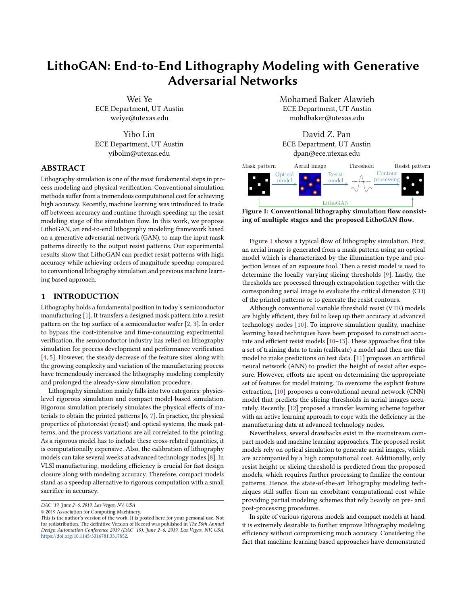Table 1: The CGAN architecture.

| <b>Generator Encoder</b> |                          |                         | <b>Generator Decoder</b> |              |                     | <b>Discriminator</b> |                          |             |
|--------------------------|--------------------------|-------------------------|--------------------------|--------------|---------------------|----------------------|--------------------------|-------------|
| Laver                    | Filter                   | Output Size             | Laver                    | Filter       | Output Size         | Laver                | Filter                   | Output Size |
| Input                    | $\overline{\phantom{a}}$ | 256×256×3               | Deconv-BN-LReLU          | $5\times5.2$ | $2\times2\times512$ | Input                | $\overline{\phantom{a}}$ | 256×256×6   |
| Conv-ReLU                | $5\times5.2$             | 128×128×64              | Dropout                  | -            | $2\times2\times512$ | Conv-LReLU           | $5\times5.2$             | 128×128×64  |
| Conv-BN-ReLU             | $5\times5.2$             | 64×64×128               | Deconv-BN-LReLU          | $5\times5.2$ | $4\times4\times512$ | Conv-BN-LReLU        | $5\times5.2$             | 64×64×128   |
| Conv-BN-ReLU             | $5\times5.2$             | 32×32×256               | Dropout                  | -            | $4\times4\times512$ | Conv-BN-LReLU        | $5\times5.2$             | 32×32×256   |
| Conv-BN-ReLU             | $5\times5.2$             | 16×16×512               | Deconv-BN-LReLU          | $5\times5.2$ | $8\times8\times512$ | Conv-BN-LReLU        | $5\times5.1$             | 16×16×512   |
| Conv-BN-ReLU             | $5\times5.2$             | $8\times8\times512$     | Deconv-BN-LReLU          | $5\times5.2$ | 16×16×512           | FC.                  | ۰                        |             |
| Conv-BN-ReLU             | $5\times5.2$             | $4\times4\times512$     | Deconv-BN-LReLU          | $5\times5.2$ | 32×32×256           |                      |                          |             |
| Conv-BN-ReLU             | $5\times5.2$             | $2\times2\times512$     | Deconv-BN-LReLU          | $5\times5.2$ | 64×64×128           |                      |                          |             |
| Conv-BN-ReLU             | $5\times5.2$             | $1 \times 1 \times 512$ | Deconv-BN-LReLU          | $5\times5.2$ | 128×128×64          |                      |                          |             |
|                          |                          |                         | Deconv-LReLU             | $5\times5.2$ | 256×256×3           |                      |                          |             |
|                          |                          |                         |                          |              |                     |                      |                          |             |

Table 2: The CNN architecture.

| Layer          | Filter       | Output Size        |  |
|----------------|--------------|--------------------|--|
| Input          |              | 256×256×3          |  |
| Conv-ReLU-BN-P | $7\times7.1$ | 128×128×32         |  |
| Conv-ReLU-BN-P | $3\times3,1$ | 64×64×64           |  |
| Conv-ReLU-BN-P | $3\times3.1$ | 32×32×64           |  |
| Conv-ReLU-BN-P | $3\times3,1$ | 16×16×64           |  |
| Conv-ReLU-BN-P | $3\times3.1$ | $8\times8\times64$ |  |
| FC.            |              | 64                 |  |
| ReLU+Dropout   |              | 64                 |  |
| FC             |              | $\mathfrak{D}$     |  |



Figure 6: (a) Mask pattern input (b) CGAN output and (c) LithoGAN output. Each row represents one clip example. The golden contour is outlined in black. The prediction pattern is filled with green and outlined in red.

### 4.1 CGAN vs. LithoGAN

To demonstrate the performance of both frameworks discussed in this work: (i) the proposed lithography modeling CGAN and (ii) the improved LithoGAN, we visualize their performance in Figure 6. The top two rows are for samples from the N10 dataset, and the bottom two rows are for samples from the N7 dataset. According to [12], there are three types of contact arrays in the dataset, and Figure 6 includes at least one sample from each type. One can clearly see that CGAN outputs a shape very close to the golden resist pattern but the resist center can be quite far from the golden center; whereas, LithoGAN predicts both the shape and the center accurately. By examining the histogram showing the distribution of EDE in Figure 7, one can notice that LithoGAN can achieve lower EDE values when compared to CGAN; hence, making it closer to the golden solution.

LithoGAN achieves better accuracy compared to CGAN with the assistance of the CNN which predicts the location of the resist shape center. The average Euclidean distance between the golden



Figure 7: EDE distributions for CGAN and LithoGAN.

location of the center and the predicted location on the test set is used to measure the CNN prediction error. The error values for N10 and N7 datasets are <sup>0</sup>.43 nm and <sup>0</sup>.37 nm respectively.

Figure 8 gives a visualization example of how resist pattern images generated by LithoGAN progressively become more real and closer to the golden results along the training process. Besides, the loss changes of the generator and discriminator are depicted in Figure 9. It shows that the model converges after 50 epochs and produces resist patterns of high quality.

## 4.2 Framework Validation

We first compare the accuracy of our proposed LithoGAN with the state-of-the-art work on lithography modeling [12]. The work [12] first runs the optical simulation with Mentor Calibre [26] on the mask pattern clips. Then it uses the trained CNN model to predict four thresholds for each clip and performs threshold processing to generate the final contours. Instead, the proposed CGAN and LithoGAN for direct lithography modeling only need the mask pattern clips as input and directly output the resist shapes.

Table 3 gives a detailed comparison among the three methods using the proposed metrics in Section 2, where the average results over all the test samples are reported. In this work, the goal is to mimic the results of the rigorous simulation; hence, these results are considered a reference and all metrics are computed with reference to them. In addition to the mean EDE error over all the test samples, we also report the standard deviation for their EDE values. By examining the results in Table 3, one can easily find that LithoGAN outperforms CGAN in all the metrics, and the detailed comparison has been shown in Section 4.1. Besides, although [12] achieves slightly better results, LithoGAN is still competent for lithography usage at advanced technology nodes. That is because the average error of the critical dimension obtained from LithoGAN, <sup>1</sup>.99 nm and <sup>1</sup>.65 nm for N10 and N7 respectively, fall within the acceptable range (10% of the half pitch for contacts) [10, 12].

Next, we demonstrate the runtime comparison in Table 4. It is reported in [12] that the rigorous simulation for both of the two